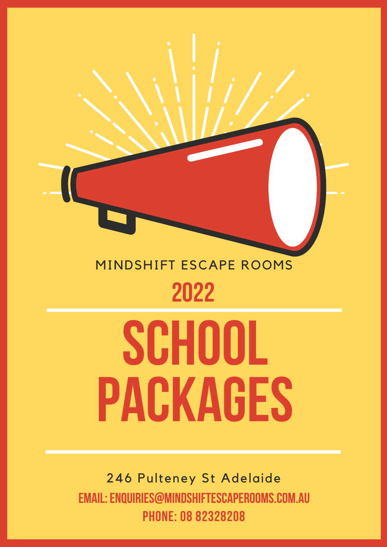# MINDSHIFT ESCAPE ROOMS **2022**

# **SCHOOL PACKAGES**

246 Pulteney St Adelaide **EMAIL:ENQUIRIES@MINDSHIFTESCAPEROOMS.COM.AU PHONE: 08 82328208**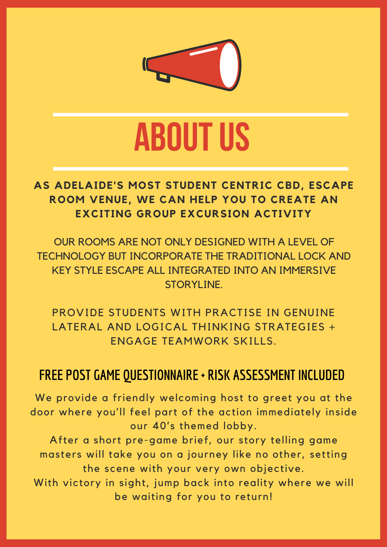

# **ABOUTUS**

#### **AS ADELAIDE'S MOST STUDENT CENTRIC CBD, ESCAPE ROOM VENUE, WE CAN HELP YOU TO CREATE AN EXCITING GROUP EXCURSION ACTIVITY**

OUR ROOMS ARE NOT ONLY DESIGNED WITH A LEVEL OF TECHNOLOGY BUT INCORPORATE THE TRADITIONAL LOCK AND KEY STYLE ESCAPE ALL INTEGRATED INTO AN IMMERSIVE STORYLINE.

PROVIDE STUDENTS WITH PRACTISE IN GENUINE LATERAL AND LOGICAL THINKING STRATEGIES + ENGAGE TEAMWORK SKILLS.

#### **FREE POST GAME QUESTIONNAIRE + RISK ASSESSMENT INCLUDED**

We provide a friendly welcoming host to greet you at the door where you'll feel part of the action immediately inside our 40's themed lobby.

After a short pre-game brief, our story telling game masters will take you on a journey like no other, setting the scene with your very own objective.

With victory in sight, jump back into reality where we will be waiting for you to return!